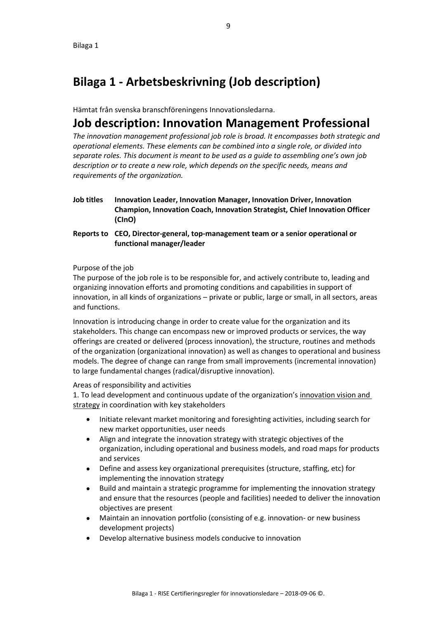# **Bilaga 1 - Arbetsbeskrivning (Job description)**

Hämtat från svenska branschföreningens Innovationsledarna.

## **Job description: Innovation Management Professional**

*The innovation management professional job role is broad. It encompasses both strategic and operational elements. These elements can be combined into a single role, or divided into separate roles. This document is meant to be used as a guide to assembling one's own job description or to create a new role, which depends on the specific needs, means and requirements of the organization.*

- **Job titles Innovation Leader, Innovation Manager, Innovation Driver, Innovation Champion, Innovation Coach, Innovation Strategist, Chief Innovation Officer (CInO)**
- **Reports to CEO, Director-general, top-management team or a senior operational or functional manager/leader**

#### Purpose of the job

The purpose of the job role is to be responsible for, and actively contribute to, leading and organizing innovation efforts and promoting conditions and capabilities in support of innovation, in all kinds of organizations – private or public, large or small, in all sectors, areas and functions.

Innovation is introducing change in order to create value for the organization and its stakeholders. This change can encompass new or improved products or services, the way offerings are created or delivered (process innovation), the structure, routines and methods of the organization (organizational innovation) as well as changes to operational and business models. The degree of change can range from small improvements (incremental innovation) to large fundamental changes (radical/disruptive innovation).

### Areas of responsibility and activities

1. To lead development and continuous update of the organization's innovation vision and strategy in coordination with key stakeholders

- Initiate relevant market monitoring and foresighting activities, including search for new market opportunities, user needs
- Align and integrate the innovation strategy with strategic objectives of the organization, including operational and business models, and road maps for products and services
- Define and assess key organizational prerequisites (structure, staffing, etc) for implementing the innovation strategy
- Build and maintain a strategic programme for implementing the innovation strategy and ensure that the resources (people and facilities) needed to deliver the innovation objectives are present
- Maintain an innovation portfolio (consisting of e.g. innovation- or new business development projects)
- Develop alternative business models conducive to innovation